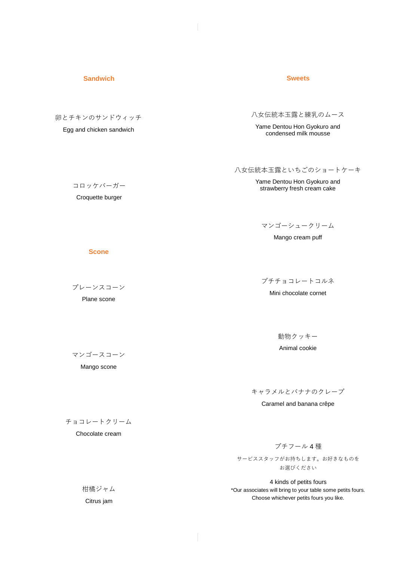### **Sandwich**

卵とチキンのサンドウィッチ

Egg and chicken sandwich

コロッケバーガー

Croquette burger

## **Sweets**

八女伝統本玉露と練乳のムース

Yame Dentou Hon Gyokuro and condensed milk mousse

八女伝統本玉露といちごのショートケーキ

Yame Dentou Hon Gyokuro and strawberry fresh cream cake

マンゴーシュークリーム

Mango cream puff

プチチョコレートコルネ

Mini chocolate cornet

動物クッキー Animal cookie

キャラメルとバナナのクレープ

Caramel and banana crêpe

プチフール 4 種

サービススタッフがお持ちします。お好きなものを お選びください

4 kinds of petits fours \*Our associates will bring to your table some petits fours. Choose whichever petits fours you like.

**Scone**

プレーンスコーン

Plane scone

マンゴースコーン

Mango scone

チョコレートクリーム

Chocolate cream

柑橘ジャム Citrus jam